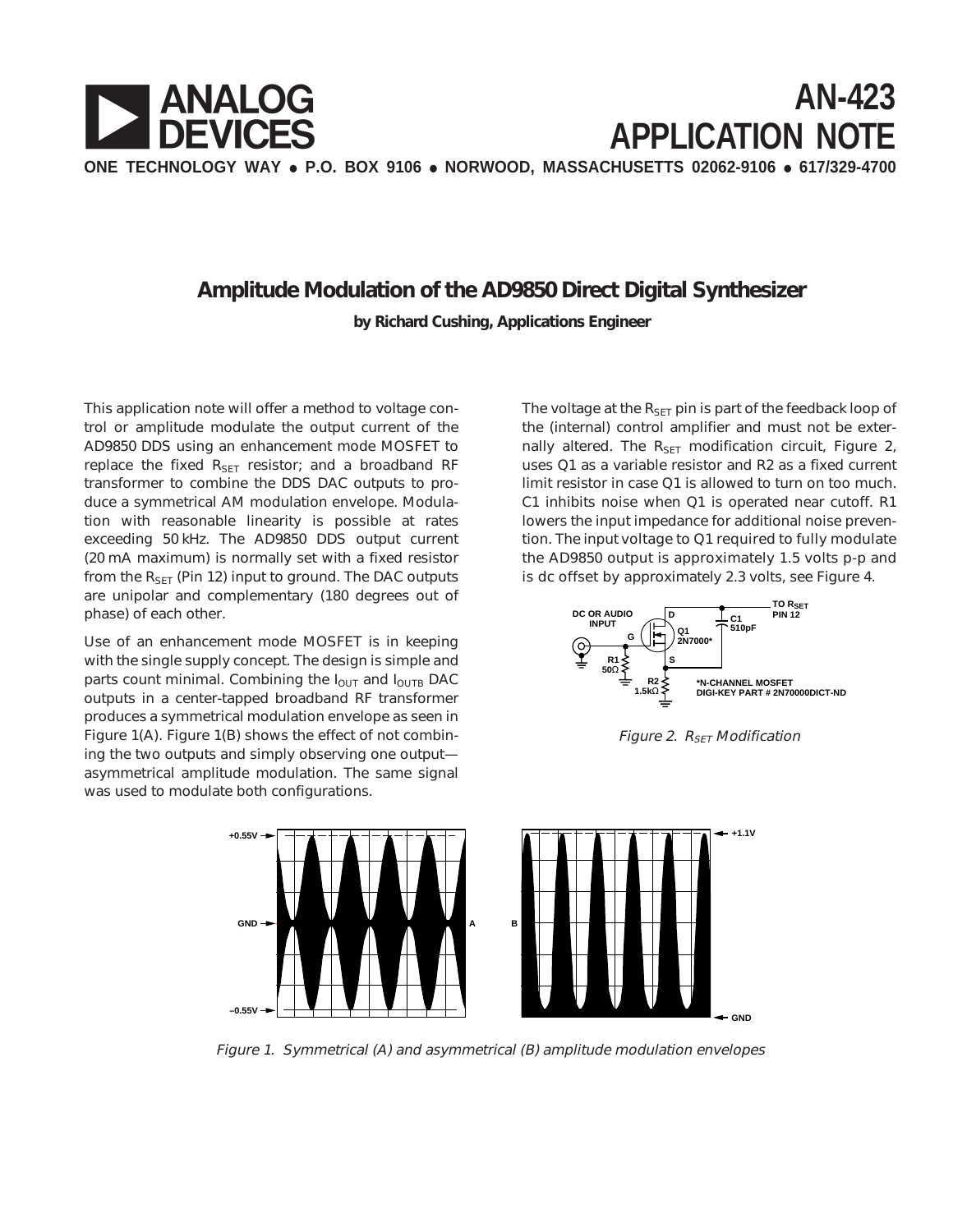

## **Amplitude Modulation of the AD9850 Direct Digital Synthesizer**

**by Richard Cushing, Applications Engineer**

This application note will offer a method to voltage control or amplitude modulate the output current of the AD9850 DDS using an enhancement mode MOSFET to replace the fixed  $R_{\text{SET}}$  resistor; and a broadband RF transformer to combine the DDS DAC outputs to produce a symmetrical AM modulation envelope. Modulation with reasonable linearity is possible at rates exceeding 50 kHz. The AD9850 DDS output current (20 mA maximum) is normally set with a fixed resistor from the  $R_{\text{SET}}$  (Pin 12) input to ground. The DAC outputs are unipolar and complementary (180 degrees out of phase) of each other.

Use of an enhancement mode MOSFET is in keeping with the single supply concept. The design is simple and parts count minimal. Combining the  $I_{\text{OUT}}$  and  $I_{\text{OUTB}}$  DAC outputs in a center-tapped broadband RF transformer produces a symmetrical modulation envelope as seen in Figure 1(A). Figure 1(B) shows the effect of not combining the two outputs and simply observing one output asymmetrical amplitude modulation. The same signal was used to modulate both configurations.

The voltage at the  $R_{\text{SET}}$  pin is part of the feedback loop of the (internal) control amplifier and must not be externally altered. The  $R_{\text{SFT}}$  modification circuit, Figure 2, uses Q1 as a variable resistor and R2 as a fixed current limit resistor in case Q1 is allowed to turn on too much. C1 inhibits noise when Q1 is operated near cutoff. R1 lowers the input impedance for additional noise prevention. The input voltage to Q1 required to fully modulate the AD9850 output is approximately 1.5 volts p-p and is dc offset by approximately 2.3 volts, see Figure 4.







Figure 1. Symmetrical (A) and asymmetrical (B) amplitude modulation envelopes